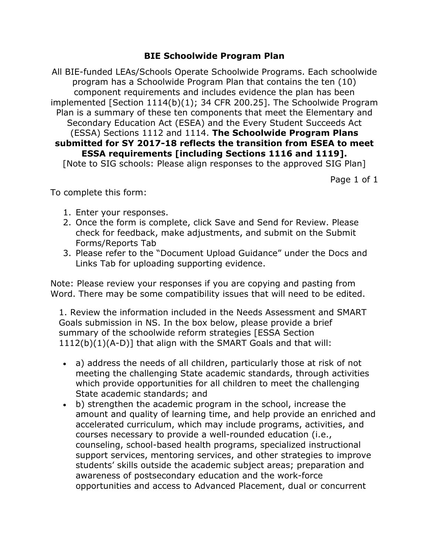## **BIE Schoolwide Program Plan**

All BIE-funded LEAs/Schools Operate Schoolwide Programs. Each schoolwide program has a Schoolwide Program Plan that contains the ten (10) component requirements and includes evidence the plan has been implemented [Section 1114(b)(1); 34 CFR 200.25]. The Schoolwide Program Plan is a summary of these ten components that meet the Elementary and Secondary Education Act (ESEA) and the Every Student Succeeds Act (ESSA) Sections 1112 and 1114. **The Schoolwide Program Plans submitted for SY 2017-18 reflects the transition from ESEA to meet ESSA requirements [including Sections 1116 and 1119].** [Note to SIG schools: Please align responses to the approved SIG Plan]

Page 1 of 1

To complete this form:

- 1. Enter your responses.
- 2. Once the form is complete, click Save and Send for Review. Please check for feedback, make adjustments, and submit on the Submit Forms/Reports Tab
- 3. Please refer to the "Document Upload Guidance" under the Docs and Links Tab for uploading supporting evidence.

Note: Please review your responses if you are copying and pasting from Word. There may be some compatibility issues that will need to be edited.

1. Review the information included in the Needs Assessment and SMART Goals submission in NS. In the box below, please provide a brief summary of the schoolwide reform strategies [ESSA Section 1112(b)(1)(A-D)] that align with the SMART Goals and that will:

- a) address the needs of all children, particularly those at risk of not meeting the challenging State academic standards, through activities which provide opportunities for all children to meet the challenging State academic standards; and
- b) strengthen the academic program in the school, increase the amount and quality of learning time, and help provide an enriched and accelerated curriculum, which may include programs, activities, and courses necessary to provide a well-rounded education (i.e., counseling, school-based health programs, specialized instructional support services, mentoring services, and other strategies to improve students' skills outside the academic subject areas; preparation and awareness of postsecondary education and the work-force opportunities and access to Advanced Placement, dual or concurrent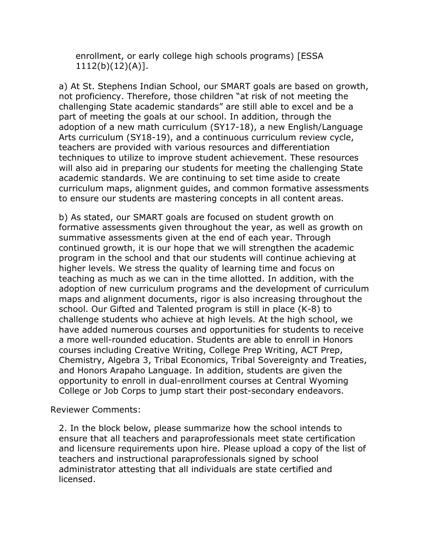enrollment, or early college high schools programs) [ESSA 1112(b)(12)(A)].

a) At St. Stephens Indian School, our SMART goals are based on growth, not proficiency. Therefore, those children "at risk of not meeting the challenging State academic standards" are still able to excel and be a part of meeting the goals at our school. In addition, through the adoption of a new math curriculum (SY17-18), a new English/Language Arts curriculum (SY18-19), and a continuous curriculum review cycle, teachers are provided with various resources and differentiation techniques to utilize to improve student achievement. These resources will also aid in preparing our students for meeting the challenging State academic standards. We are continuing to set time aside to create curriculum maps, alignment guides, and common formative assessments to ensure our students are mastering concepts in all content areas.

b) As stated, our SMART goals are focused on student growth on formative assessments given throughout the year, as well as growth on summative assessments given at the end of each year. Through continued growth, it is our hope that we will strengthen the academic program in the school and that our students will continue achieving at higher levels. We stress the quality of learning time and focus on teaching as much as we can in the time allotted. In addition, with the adoption of new curriculum programs and the development of curriculum maps and alignment documents, rigor is also increasing throughout the school. Our Gifted and Talented program is still in place (K-8) to challenge students who achieve at high levels. At the high school, we have added numerous courses and opportunities for students to receive a more well-rounded education. Students are able to enroll in Honors courses including Creative Writing, College Prep Writing, ACT Prep, Chemistry, Algebra 3, Tribal Economics, Tribal Sovereignty and Treaties, and Honors Arapaho Language. In addition, students are given the opportunity to enroll in dual-enrollment courses at Central Wyoming College or Job Corps to jump start their post-secondary endeavors.

Reviewer Comments:

2. In the block below, please summarize how the school intends to ensure that all teachers and paraprofessionals meet state certification and licensure requirements upon hire. Please upload a copy of the list of teachers and instructional paraprofessionals signed by school administrator attesting that all individuals are state certified and licensed.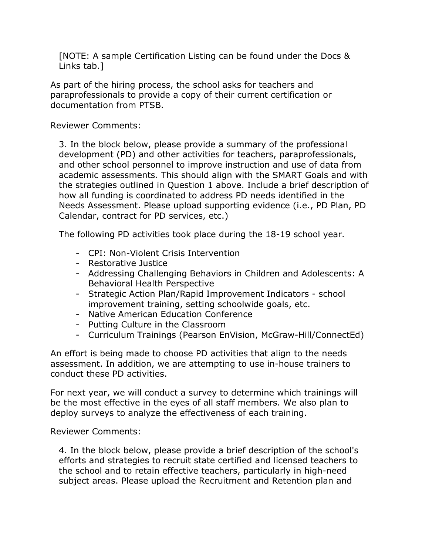[NOTE: A sample Certification Listing can be found under the Docs & Links tab.]

As part of the hiring process, the school asks for teachers and paraprofessionals to provide a copy of their current certification or documentation from PTSB.

Reviewer Comments:

3. In the block below, please provide a summary of the professional development (PD) and other activities for teachers, paraprofessionals, and other school personnel to improve instruction and use of data from academic assessments. This should align with the SMART Goals and with the strategies outlined in Question 1 above. Include a brief description of how all funding is coordinated to address PD needs identified in the Needs Assessment. Please upload supporting evidence (i.e., PD Plan, PD Calendar, contract for PD services, etc.)

The following PD activities took place during the 18-19 school year.

- CPI: Non-Violent Crisis Intervention
- Restorative Justice
- Addressing Challenging Behaviors in Children and Adolescents: A Behavioral Health Perspective
- Strategic Action Plan/Rapid Improvement Indicators school improvement training, setting schoolwide goals, etc.
- Native American Education Conference
- Putting Culture in the Classroom
- Curriculum Trainings (Pearson EnVision, McGraw-Hill/ConnectEd)

An effort is being made to choose PD activities that align to the needs assessment. In addition, we are attempting to use in-house trainers to conduct these PD activities.

For next year, we will conduct a survey to determine which trainings will be the most effective in the eyes of all staff members. We also plan to deploy surveys to analyze the effectiveness of each training.

Reviewer Comments:

4. In the block below, please provide a brief description of the school's efforts and strategies to recruit state certified and licensed teachers to the school and to retain effective teachers, particularly in high-need subject areas. Please upload the Recruitment and Retention plan and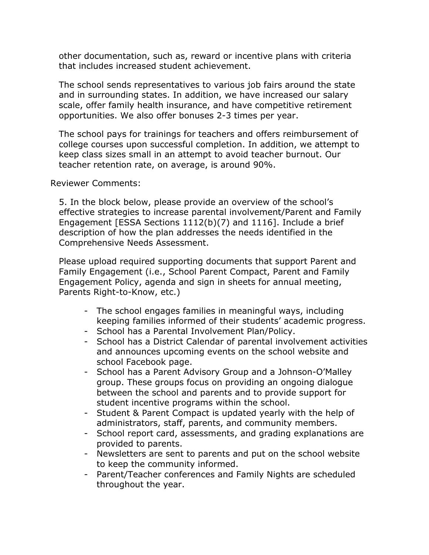other documentation, such as, reward or incentive plans with criteria that includes increased student achievement.

The school sends representatives to various job fairs around the state and in surrounding states. In addition, we have increased our salary scale, offer family health insurance, and have competitive retirement opportunities. We also offer bonuses 2-3 times per year.

The school pays for trainings for teachers and offers reimbursement of college courses upon successful completion. In addition, we attempt to keep class sizes small in an attempt to avoid teacher burnout. Our teacher retention rate, on average, is around 90%.

Reviewer Comments:

5. In the block below, please provide an overview of the school's effective strategies to increase parental involvement/Parent and Family Engagement [ESSA Sections 1112(b)(7) and 1116]. Include a brief description of how the plan addresses the needs identified in the Comprehensive Needs Assessment.

Please upload required supporting documents that support Parent and Family Engagement (i.e., School Parent Compact, Parent and Family Engagement Policy, agenda and sign in sheets for annual meeting, Parents Right-to-Know, etc.)

- The school engages families in meaningful ways, including keeping families informed of their students' academic progress.
- School has a Parental Involvement Plan/Policy.
- School has a District Calendar of parental involvement activities and announces upcoming events on the school website and school Facebook page.
- School has a Parent Advisory Group and a Johnson-O'Malley group. These groups focus on providing an ongoing dialogue between the school and parents and to provide support for student incentive programs within the school.
- Student & Parent Compact is updated yearly with the help of administrators, staff, parents, and community members.
- School report card, assessments, and grading explanations are provided to parents.
- Newsletters are sent to parents and put on the school website to keep the community informed.
- Parent/Teacher conferences and Family Nights are scheduled throughout the year.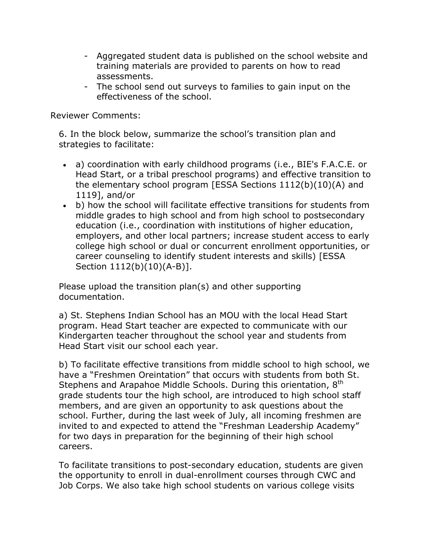- Aggregated student data is published on the school website and training materials are provided to parents on how to read assessments.
- The school send out surveys to families to gain input on the effectiveness of the school.

Reviewer Comments:

6. In the block below, summarize the school's transition plan and strategies to facilitate:

- a) coordination with early childhood programs (i.e., BIE's F.A.C.E. or Head Start, or a tribal preschool programs) and effective transition to the elementary school program [ESSA Sections 1112(b)(10)(A) and 1119], and/or
- b) how the school will facilitate effective transitions for students from middle grades to high school and from high school to postsecondary education (i.e., coordination with institutions of higher education, employers, and other local partners; increase student access to early college high school or dual or concurrent enrollment opportunities, or career counseling to identify student interests and skills) [ESSA Section 1112(b)(10)(A-B)].

Please upload the transition plan(s) and other supporting documentation.

a) St. Stephens Indian School has an MOU with the local Head Start program. Head Start teacher are expected to communicate with our Kindergarten teacher throughout the school year and students from Head Start visit our school each year.

b) To facilitate effective transitions from middle school to high school, we have a "Freshmen Oreintation" that occurs with students from both St. Stephens and Arapahoe Middle Schools. During this orientation, 8<sup>th</sup> grade students tour the high school, are introduced to high school staff members, and are given an opportunity to ask questions about the school. Further, during the last week of July, all incoming freshmen are invited to and expected to attend the "Freshman Leadership Academy" for two days in preparation for the beginning of their high school careers.

To facilitate transitions to post-secondary education, students are given the opportunity to enroll in dual-enrollment courses through CWC and Job Corps. We also take high school students on various college visits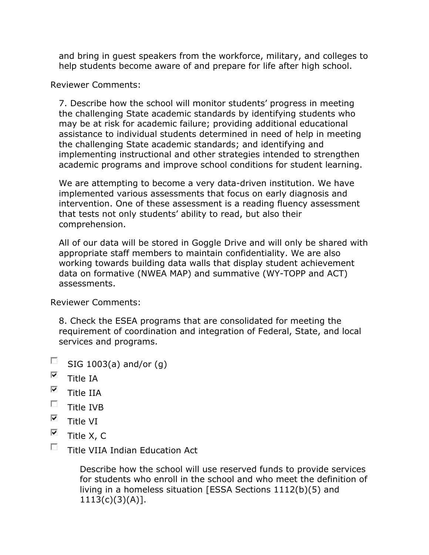and bring in guest speakers from the workforce, military, and colleges to help students become aware of and prepare for life after high school.

Reviewer Comments:

7. Describe how the school will monitor students' progress in meeting the challenging State academic standards by identifying students who may be at risk for academic failure; providing additional educational assistance to individual students determined in need of help in meeting the challenging State academic standards; and identifying and implementing instructional and other strategies intended to strengthen academic programs and improve school conditions for student learning.

We are attempting to become a very data-driven institution. We have implemented various assessments that focus on early diagnosis and intervention. One of these assessment is a reading fluency assessment that tests not only students' ability to read, but also their comprehension.

All of our data will be stored in Goggle Drive and will only be shared with appropriate staff members to maintain confidentiality. We are also working towards building data walls that display student achievement data on formative (NWEA MAP) and summative (WY-TOPP and ACT) assessments.

Reviewer Comments:

8. Check the ESEA programs that are consolidated for meeting the requirement of coordination and integration of Federal, State, and local services and programs.

- $\overline{\mathcal{L}_{\mathcal{A}}^{\mathcal{A}}}$ SIG 1003(a) and/or (g)
- $\overline{\mathbf{v}}$ Title IA
- $\overline{\mathbf{v}}$ Title IIA
- $\Box$ Title IVB
- $\overline{\mathbf{v}}$ Title VI
- $\overline{\mathbf{v}}$ Title X, C
- $\Box$ Title VIIA Indian Education Act

Describe how the school will use reserved funds to provide services for students who enroll in the school and who meet the definition of living in a homeless situation [ESSA Sections 1112(b)(5) and  $1113(c)(3)(A)$ ].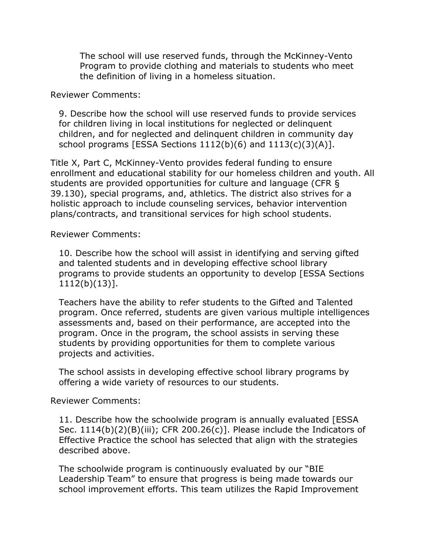The school will use reserved funds, through the McKinney-Vento Program to provide clothing and materials to students who meet the definition of living in a homeless situation.

Reviewer Comments:

9. Describe how the school will use reserved funds to provide services for children living in local institutions for neglected or delinquent children, and for neglected and delinquent children in community day school programs [ESSA Sections  $1112(b)(6)$  and  $1113(c)(3)(A)$ ].

Title X, Part C, McKinney-Vento provides federal funding to ensure enrollment and educational stability for our homeless children and youth. All students are provided opportunities for culture and language (CFR § 39.130), special programs, and, athletics. The district also strives for a holistic approach to include counseling services, behavior intervention plans/contracts, and transitional services for high school students.

Reviewer Comments:

10. Describe how the school will assist in identifying and serving gifted and talented students and in developing effective school library programs to provide students an opportunity to develop [ESSA Sections 1112(b)(13)].

Teachers have the ability to refer students to the Gifted and Talented program. Once referred, students are given various multiple intelligences assessments and, based on their performance, are accepted into the program. Once in the program, the school assists in serving these students by providing opportunities for them to complete various projects and activities.

The school assists in developing effective school library programs by offering a wide variety of resources to our students.

Reviewer Comments:

11. Describe how the schoolwide program is annually evaluated [ESSA Sec. 1114(b)(2)(B)(iii); CFR 200.26(c)]. Please include the Indicators of Effective Practice the school has selected that align with the strategies described above.

The schoolwide program is continuously evaluated by our "BIE Leadership Team" to ensure that progress is being made towards our school improvement efforts. This team utilizes the Rapid Improvement